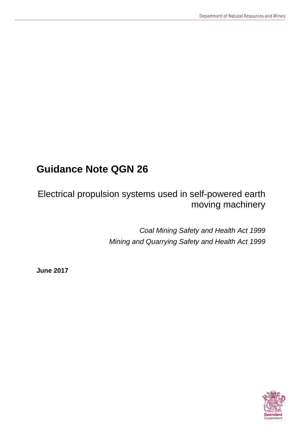# **Guidance Note QGN 26**

Electrical propulsion systems used in self-powered earth moving machinery

> *Coal Mining Safety and Health Act 1999 Mining and Quarrying Safety and Health Act 1999*

**June 2017**

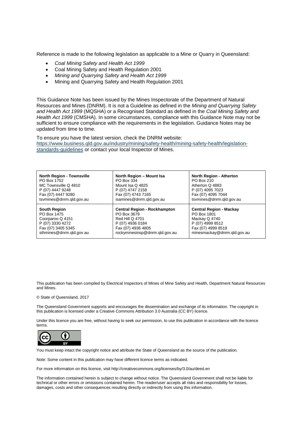Reference is made to the following legislation as applicable to a Mine or Quarry in Queensland:

- *Coal Mining Safety and Health Act 1999*
- Coal Mining Safety and Health Regulation 2001
- *Mining and Quarrying Safety and Health Act 1999*
- Mining and Quarrying Safety and Health Regulation 2001

This Guidance Note has been issued by the Mines Inspectorate of the Department of Natural Resources and Mines (DNRM). It is not a Guideline as defined in the *Mining and Quarrying Safety and Health Act 1999* (MQSHA) or a Recognised Standard as defined in the *Coal Mining Safety and Health Act 1999* (CMSHA). In some circumstances, compliance with this Guidance Note may not be sufficient to ensure compliance with the requirements in the legislation. Guidance Notes may be updated from time to time.

To ensure you have the latest version, check the DNRM website: [https://www.business.qld.gov.au/industry/mining/safety-health/mining-safety-health/legislation](https://www.business.qld.gov.au/industry/mining/safety-health/mining-safety-health/legislation-standards-guidelines)[standards-guidelines](https://www.business.qld.gov.au/industry/mining/safety-health/mining-safety-health/legislation-standards-guidelines) or contact your local Inspector of Mines.

| <b>North Region - Townsville</b> | North Region - Mount Isa            | <b>North Region - Atherton</b> |
|----------------------------------|-------------------------------------|--------------------------------|
| PO Box 1752                      | PO Box 334                          | <b>PO Box 210</b>              |
| MC Townsville Q 4810             | Mount Isa Q 4825                    | Atherton Q 4883                |
| P (07) 4447 9248                 | P (07) 4747 2158                    | P (07) 4095 7023               |
| Fax (07) 4447 9280               | Fax (07) 4743 7165                  | Fax (07) 4095 7044             |
| tsymines@dnrm.gld.gov.au         | isamines@dnrm.gld.gov.au            | tsymines@dnrm.gld.gov.au       |
| <b>South Region</b>              | <b>Central Region - Rockhampton</b> | <b>Central Region - Mackay</b> |
| PO Box 1475                      | PO Box 3679                         | PO Box 1801                    |
| Coorparoo Q 4151                 | <b>Red Hill Q 4701</b>              | Mackay Q 4740                  |
| P (07) 3330 4272                 | P (07) 4936 0184                    | P (07) 4999 8512               |
| Fax (07) 3405 5345               | Fax (07) 4936 4805                  | Fax (07) 4999 8519             |
| sthmines@dnrm.gld.gov.au         | rockyminesinsp@dnrm.gld.gov.au      | minesmackay@dnrm.qld.gov.au    |

This publication has been compiled by Electrical Inspectors of Mines of Mine Safety and Health, Department Natural Resources and Mines.

#### © State of Queensland, 2017

The Queensland Government supports and encourages the dissemination and exchange of its information. The copyright in this publication is licensed under a Creative Commons Attribution 3.0 Australia (CC BY) licence.

Under this licence you are free, without having to seek our permission, to use this publication in accordance with the licence terms.



You must keep intact the copyright notice and attribute the State of Queensland as the source of the publication.

Note: Some content in this publication may have different licence terms as indicated.

For more information on this licence, visit http://creativecommons.org/licenses/by/3.0/au/deed.en

The information contained herein is subject to change without notice. The Queensland Government shall not be liable for technical or other errors or omissions contained herein. The reader/user accepts all risks and responsibility for losses, damages, costs and other consequences resulting directly or indirectly from using this information.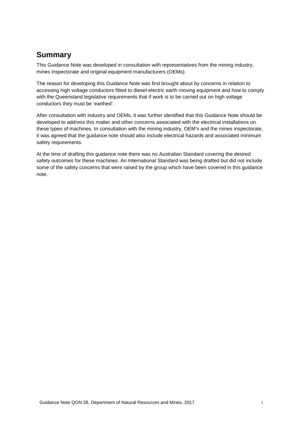# **Summary**

This Guidance Note was developed in consultation with representatives from the mining industry, mines inspectorate and original equipment manufacturers (OEMs).

The reason for developing this Guidance Note was first brought about by concerns in relation to accessing high voltage conductors fitted to diesel-electric earth moving equipment and how to comply with the Queensland legislative requirements that if work is to be carried out on high voltage conductors they must be 'earthed'.

After consultation with industry and OEMs, it was further identified that this Guidance Note should be developed to address this matter and other concerns associated with the electrical installations on these types of machines. In consultation with the mining industry, OEM's and the mines inspectorate, it was agreed that the guidance note should also include electrical hazards and associated minimum safety requirements.

At the time of drafting this guidance note there was no Australian Standard covering the desired safety outcomes for these machines. An International Standard was being drafted but did not include some of the safety concerns that were raised by the group which have been covered in this guidance note.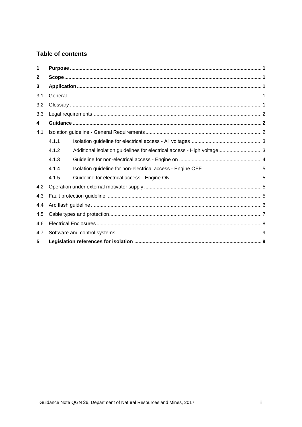### **Table of contents**

<span id="page-3-0"></span>

| 1   |       |                                                                        |  |
|-----|-------|------------------------------------------------------------------------|--|
| 2   |       |                                                                        |  |
| 3   |       |                                                                        |  |
| 3.1 |       |                                                                        |  |
| 3.2 |       |                                                                        |  |
| 3.3 |       |                                                                        |  |
| 4   |       |                                                                        |  |
| 4.1 |       |                                                                        |  |
|     | 4.1.1 |                                                                        |  |
|     | 4.1.2 | Additional isolation guidelines for electrical access - High voltage 3 |  |
|     | 4.1.3 |                                                                        |  |
|     | 4.1.4 |                                                                        |  |
|     | 4.1.5 |                                                                        |  |
| 4.2 |       |                                                                        |  |
| 4.3 |       |                                                                        |  |
| 4.4 |       |                                                                        |  |
| 4.5 |       |                                                                        |  |
| 4.6 |       |                                                                        |  |
| 4.7 |       |                                                                        |  |
| 5   |       |                                                                        |  |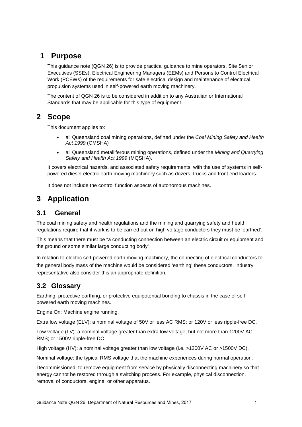# **1 Purpose**

This guidance note (QGN 26) is to provide practical guidance to mine operators, Site Senior Executives (SSEs), Electrical Engineering Managers (EEMs) and Persons to Control Electrical Work (PCEWs) of the requirements for safe electrical design and maintenance of electrical propulsion systems used in self-powered earth moving machinery.

The content of QGN 26 is to be considered in addition to any Australian or International Standards that may be applicable for this type of equipment.

# <span id="page-4-0"></span>**2 Scope**

This document applies to:

- all Queensland coal mining operations, defined under the *Coal Mining Safety and Health Act 1999* (CMSHA)
- all Queensland metalliferous mining operations, defined under the *Mining and Quarrying Safety and Health Act 1999* (MQSHA).

It covers electrical hazards, and associated safety requirements, with the use of systems in selfpowered diesel-electric earth moving machinery such as dozers, trucks and front end loaders.

It does not include the control function aspects of autonomous machines.

# <span id="page-4-1"></span>**3 Application**

## <span id="page-4-2"></span>**3.1 General**

The coal mining safety and health regulations and the mining and quarrying safety and health regulations require that if work is to be carried out on high voltage conductors they must be 'earthed'.

This means that there must be "a conducting connection between an electric circuit or equipment and the ground or some similar large conducting body".

In relation to electric self-powered earth moving machinery, the connecting of electrical conductors to the general body mass of the machine would be considered 'earthing' these conductors. Industry representative also consider this an appropriate definition.

### <span id="page-4-3"></span>**3.2 Glossary**

Earthing: protective earthing, or protective equipotential bonding to chassis in the case of selfpowered earth moving machines.

Engine On: Machine engine running.

Extra low voltage (ELV): a nominal voltage of 50V or less AC RMS; or 120V or less ripple-free DC.

Low voltage (LV): a nominal voltage greater than extra low voltage, but not more than 1200V AC RMS; or 1500V ripple-free DC.

High voltage (HV): a nominal voltage greater than low voltage (i.e. >1200V AC or >1500V DC).

Nominal voltage: the typical RMS voltage that the machine experiences during normal operation.

Decommissioned: to remove equipment from service by physically disconnecting machinery so that energy cannot be restored through a switching process. For example, physical disconnection, removal of conductors, engine, or other apparatus.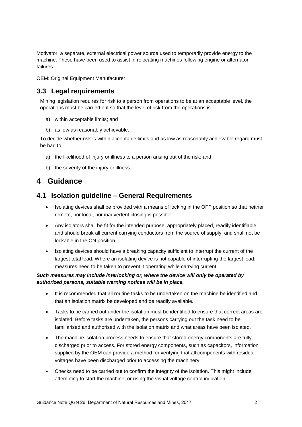Motivator: a separate, external electrical power source used to temporarily provide energy to the machine. These have been used to assist in relocating machines following engine or alternator failures.

OEM: Original Equipment Manufacturer.

### <span id="page-5-0"></span>**3.3 Legal requirements**

Mining legislation requires for risk to a person from operations to be at an acceptable level, the operations must be carried out so that the level of risk from the operations is—

- a) within acceptable limits; and
- b) as low as reasonably achievable.

To decide whether risk is within acceptable limits and as low as reasonably achievable regard must be had to—

- a) the likelihood of injury or illness to a person arising out of the risk; and
- b) the severity of the injury or illness.

# <span id="page-5-1"></span>**4 Guidance**

### <span id="page-5-2"></span>**4.1 Isolation guideline – General Requirements**

- Isolating devices shall be provided with a means of locking in the OFF position so that neither remote, nor local, nor inadvertent closing is possible.
- Any isolators shall be fit for the intended purpose, appropriately placed, readily identifiable and should break all current carrying conductors from the source of supply, and shall not be lockable in the ON position.
- Isolating devices should have a breaking capacity sufficient to interrupt the current of the largest total load. Where an isolating device is not capable of interrupting the largest load, measures need to be taken to prevent it operating while carrying current.

### *Such measures may include interlocking or, where the device will only be operated by authorized persons, suitable warning notices will be in place.*

- It is recommended that all routine tasks to be undertaken on the machine be identified and that an isolation matrix be developed and be readily available.
- Tasks to be carried out under the isolation must be identified to ensure that correct areas are isolated. Before tasks are undertaken, the persons carrying out the task need to be familiarised and authorised with the isolation matrix and what areas have been isolated.
- The machine isolation process needs to ensure that stored energy components are fully discharged prior to access. For stored energy components, such as capacitors, information supplied by the OEM can provide a method for verifying that all components with residual voltages have been discharged prior to accessing the machinery.
- Checks need to be carried out to confirm the integrity of the isolation. This might include attempting to start the machine; or using the visual voltage control indication.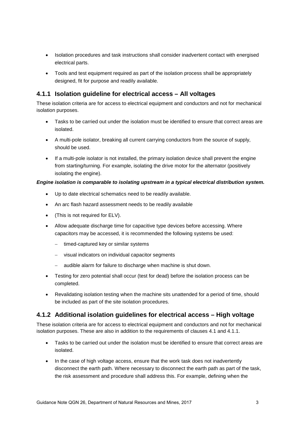- Isolation procedures and task instructions shall consider inadvertent contact with energised electrical parts.
- Tools and test equipment required as part of the isolation process shall be appropriately designed, fit for purpose and readily available.

### <span id="page-6-0"></span>**4.1.1 Isolation guideline for electrical access – All voltages**

These isolation criteria are for access to electrical equipment and conductors and not for mechanical isolation purposes.

- Tasks to be carried out under the isolation must be identified to ensure that correct areas are isolated.
- A multi-pole isolator, breaking all current carrying conductors from the source of supply, should be used.
- If a multi-pole isolator is not installed, the primary isolation device shall prevent the engine from starting/turning. For example, isolating the drive motor for the alternator (positively isolating the engine).

#### *Engine isolation is comparable to isolating upstream in a typical electrical distribution system.*

- Up to date electrical schematics need to be readily available.
- An arc flash hazard assessment needs to be readily available
- (This is not required for ELV).
- Allow adequate discharge time for capacitive type devices before accessing. Where capacitors may be accessed, it is recommended the following systems be used:
	- timed-captured key or similar systems
	- − visual indicators on individual capacitor segments
	- − audible alarm for failure to discharge when machine is shut down.
- Testing for zero potential shall occur (test for dead) before the isolation process can be completed.
- Revalidating isolation testing when the machine sits unattended for a period of time, should be included as part of the site isolation procedures.

### <span id="page-6-1"></span>**4.1.2 Additional isolation guidelines for electrical access – High voltage**

These isolation criteria are for access to electrical equipment and conductors and not for mechanical isolation purposes. These are also in addition to the requirements of clauses 4.1 and 4.1.1.

- Tasks to be carried out under the isolation must be identified to ensure that correct areas are isolated.
- In the case of high voltage access, ensure that the work task does not inadvertently disconnect the earth path. Where necessary to disconnect the earth path as part of the task, the risk assessment and procedure shall address this. For example, defining when the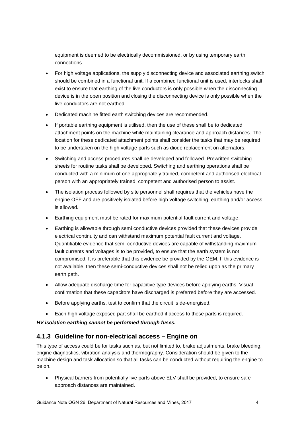equipment is deemed to be electrically decommissioned, or by using temporary earth connections.

- For high voltage applications, the supply disconnecting device and associated earthing switch should be combined in a functional unit. If a combined functional unit is used, interlocks shall exist to ensure that earthing of the live conductors is only possible when the disconnecting device is in the open position and closing the disconnecting device is only possible when the live conductors are not earthed.
- Dedicated machine fitted earth switching devices are recommended.
- If portable earthing equipment is utilised, then the use of these shall be to dedicated attachment points on the machine while maintaining clearance and approach distances. The location for these dedicated attachment points shall consider the tasks that may be required to be undertaken on the high voltage parts such as diode replacement on alternators.
- Switching and access procedures shall be developed and followed. Prewritten switching sheets for routine tasks shall be developed. Switching and earthing operations shall be conducted with a minimum of one appropriately trained, competent and authorised electrical person with an appropriately trained, competent and authorised person to assist.
- The isolation process followed by site personnel shall requires that the vehicles have the engine OFF and are positively isolated before high voltage switching, earthing and/or access is allowed.
- Earthing equipment must be rated for maximum potential fault current and voltage.
- Earthing is allowable through semi conductive devices provided that these devices provide electrical continuity and can withstand maximum potential fault current and voltage. Quantifiable evidence that semi-conductive devices are capable of withstanding maximum fault currents and voltages is to be provided, to ensure that the earth system is not compromised. It is preferable that this evidence be provided by the OEM. If this evidence is not available, then these semi-conductive devices shall not be relied upon as the primary earth path.
- Allow adequate discharge time for capacitive type devices before applying earths. Visual confirmation that these capacitors have discharged is preferred before they are accessed.
- Before applying earths, test to confirm that the circuit is de-energised.
- Each high voltage exposed part shall be earthed if access to these parts is required.

*HV isolation earthing cannot be performed through fuses.*

### <span id="page-7-0"></span>**4.1.3 Guideline for non-electrical access – Engine on**

This type of access could be for tasks such as, but not limited to, brake adjustments, brake bleeding, engine diagnostics, vibration analysis and thermography. Consideration should be given to the machine design and task allocation so that all tasks can be conducted without requiring the engine to be on.

• Physical barriers from potentially live parts above ELV shall be provided, to ensure safe approach distances are maintained.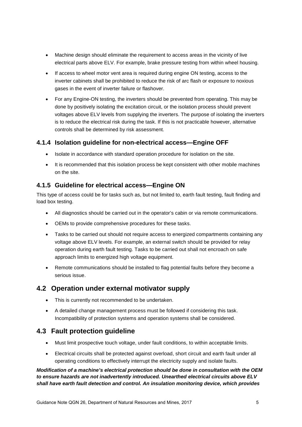- Machine design should eliminate the requirement to access areas in the vicinity of live electrical parts above ELV. For example, brake pressure testing from within wheel housing.
- If access to wheel motor vent area is required during engine ON testing, access to the inverter cabinets shall be prohibited to reduce the risk of arc flash or exposure to noxious gases in the event of inverter failure or flashover.
- For any Engine-ON testing, the inverters should be prevented from operating. This may be done by positively isolating the excitation circuit, or the isolation process should prevent voltages above ELV levels from supplying the inverters. The purpose of isolating the inverters is to reduce the electrical risk during the task. If this is not practicable however, alternative controls shall be determined by risk assessment.

### <span id="page-8-0"></span>**4.1.4 Isolation guideline for non-electrical access—Engine OFF**

- Isolate in accordance with standard operation procedure for isolation on the site.
- It is recommended that this isolation process be kept consistent with other mobile machines on the site.

### <span id="page-8-1"></span>**4.1.5 Guideline for electrical access—Engine ON**

This type of access could be for tasks such as, but not limited to, earth fault testing, fault finding and load box testing.

- All diagnostics should be carried out in the operator's cabin or via remote communications.
- OEMs to provide comprehensive procedures for these tasks.
- Tasks to be carried out should not require access to energized compartments containing any voltage above ELV levels. For example, an external switch should be provided for relay operation during earth fault testing. Tasks to be carried out shall not encroach on safe approach limits to energized high voltage equipment.
- Remote communications should be installed to flag potential faults before they become a serious issue.

### <span id="page-8-2"></span>**4.2 Operation under external motivator supply**

- This is currently not recommended to be undertaken.
- A detailed change management process must be followed if considering this task. Incompatibility of protection systems and operation systems shall be considered.

### <span id="page-8-3"></span>**4.3 Fault protection guideline**

- Must limit prospective touch voltage, under fault conditions, to within acceptable limits.
- Electrical circuits shall be protected against overload, short circuit and earth fault under all operating conditions to effectively interrupt the electricity supply and isolate faults.

### *Modification of a machine's electrical protection should be done in consultation with the OEM to ensure hazards are not inadvertently introduced. Unearthed electrical circuits above ELV shall have earth fault detection and control. An insulation monitoring device, which provides*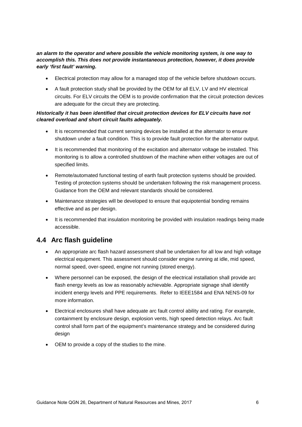#### *an alarm to the operator and where possible the vehicle monitoring system, is one way to accomplish this. This does not provide instantaneous protection, however, it does provide early 'first fault' warning.*

- Electrical protection may allow for a managed stop of the vehicle before shutdown occurs.
- A fault protection study shall be provided by the OEM for all ELV, LV and HV electrical circuits. For ELV circuits the OEM is to provide confirmation that the circuit protection devices are adequate for the circuit they are protecting.

### *Historically it has been identified that circuit protection devices for ELV circuits have not cleared overload and short circuit faults adequately.*

- It is recommended that current sensing devices be installed at the alternator to ensure shutdown under a fault condition. This is to provide fault protection for the alternator output.
- It is recommended that monitoring of the excitation and alternator voltage be installed. This monitoring is to allow a controlled shutdown of the machine when either voltages are out of specified limits.
- Remote/automated functional testing of earth fault protection systems should be provided. Testing of protection systems should be undertaken following the risk management process. Guidance from the OEM and relevant standards should be considered.
- Maintenance strategies will be developed to ensure that equipotential bonding remains effective and as per design.
- It is recommended that insulation monitoring be provided with insulation readings being made accessible.

# <span id="page-9-0"></span>**4.4 Arc flash guideline**

- An appropriate arc flash hazard assessment shall be undertaken for all low and high voltage electrical equipment. This assessment should consider engine running at idle, mid speed, normal speed, over-speed, engine not running (stored energy).
- Where personnel can be exposed, the design of the electrical installation shall provide arc flash energy levels as low as reasonably achievable. Appropriate signage shall identify incident energy levels and PPE requirements. Refer to IEEE1584 and ENA NENS-09 for more information.
- Electrical enclosures shall have adequate arc fault control ability and rating. For example, containment by enclosure design, explosion vents, high speed detection relays. Arc fault control shall form part of the equipment's maintenance strategy and be considered during design
- <span id="page-9-1"></span>• OEM to provide a copy of the studies to the mine.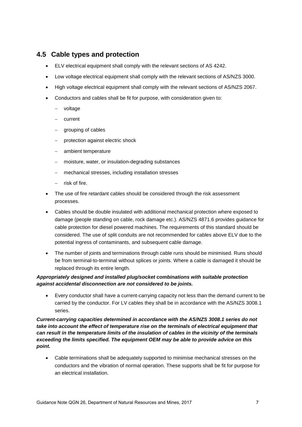### **4.5 Cable types and protection**

- ELV electrical equipment shall comply with the relevant sections of AS 4242.
- Low voltage electrical equipment shall comply with the relevant sections of AS/NZS 3000.
- High voltage electrical equipment shall comply with the relevant sections of AS/NZS 2067.
- Conductors and cables shall be fit for purpose, with consideration given to:
	- voltage
	- current
	- − grouping of cables
	- − protection against electric shock
	- − ambient temperature
	- − moisture, water, or insulation-degrading substances
	- − mechanical stresses, including installation stresses
	- risk of fire
- The use of fire retardant cables should be considered through the risk assessment processes.
- Cables should be double insulated with additional mechanical protection where exposed to damage (people standing on cable, rock damage etc.). AS/NZS 4871.6 provides guidance for cable protection for diesel powered machines. The requirements of this standard should be considered. The use of split conduits are not recommended for cables above ELV due to the potential ingress of contaminants, and subsequent cable damage.
- The number of joints and terminations through cable runs should be minimised. Runs should be from terminal-to-terminal without splices or joints. Where a cable is damaged it should be replaced through its entire length.

### *Appropriately designed and installed plug/socket combinations with suitable protection against accidental disconnection are not considered to be joints.*

• Every conductor shall have a current-carrying capacity not less than the demand current to be carried by the conductor. For LV cables they shall be in accordance with the AS/NZS 3008.1 series.

#### *Current-carrying capacities determined in accordance with the AS/NZS 3008.1 series do not take into account the effect of temperature rise on the terminals of electrical equipment that can result in the temperature limits of the insulation of cables in the vicinity of the terminals exceeding the limits specified. The equipment OEM may be able to provide advice on this point.*

• Cable terminations shall be adequately supported to minimise mechanical stresses on the conductors and the vibration of normal operation. These supports shall be fit for purpose for an electrical installation.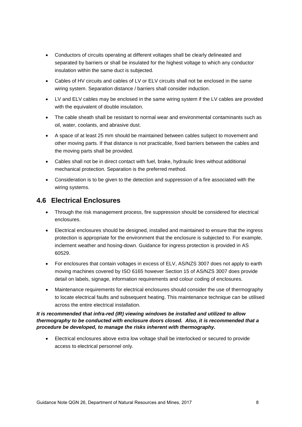- Conductors of circuits operating at different voltages shall be clearly delineated and separated by barriers or shall be insulated for the highest voltage to which any conductor insulation within the same duct is subjected.
- Cables of HV circuits and cables of LV or ELV circuits shall not be enclosed in the same wiring system. Separation distance / barriers shall consider induction.
- LV and ELV cables may be enclosed in the same wiring system if the LV cables are provided with the equivalent of double insulation.
- The cable sheath shall be resistant to normal wear and environmental contaminants such as oil, water, coolants, and abrasive dust.
- A space of at least 25 mm should be maintained between cables subject to movement and other moving parts. If that distance is not practicable, fixed barriers between the cables and the moving parts shall be provided.
- Cables shall not be in direct contact with fuel, brake, hydraulic lines without additional mechanical protection. Separation is the preferred method.
- Consideration is to be given to the detection and suppression of a fire associated with the wiring systems.

### <span id="page-11-0"></span>**4.6 Electrical Enclosures**

- Through the risk management process, fire suppression should be considered for electrical enclosures.
- Electrical enclosures should be designed, installed and maintained to ensure that the ingress protection is appropriate for the environment that the enclosure is subjected to. For example, inclement weather and hosing-down. Guidance for ingress protection is provided in AS 60529.
- For enclosures that contain voltages in excess of ELV, AS/NZS 3007 does not apply to earth moving machines covered by ISO 6165 however Section 15 of AS/NZS 3007 does provide detail on labels, signage, information requirements and colour coding of enclosures.
- Maintenance requirements for electrical enclosures should consider the use of thermography to locate electrical faults and subsequent heating. This maintenance technique can be utilised across the entire electrical installation.

#### *It is recommended that infra-red (IR) viewing windows be installed and utilized to allow thermography to be conducted with enclosure doors closed. Also, it is recommended that a procedure be developed, to manage the risks inherent with thermography.*

<span id="page-11-1"></span>• Electrical enclosures above extra low voltage shall be interlocked or secured to provide access to electrical personnel only.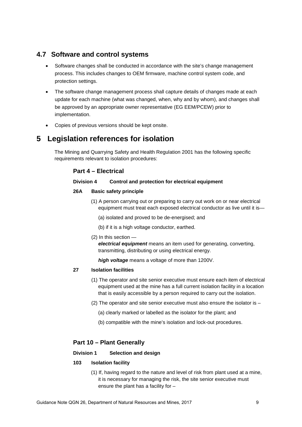### **4.7 Software and control systems**

- Software changes shall be conducted in accordance with the site's change management process. This includes changes to OEM firmware, machine control system code, and protection settings.
- The software change management process shall capture details of changes made at each update for each machine (what was changed, when, why and by whom), and changes shall be approved by an appropriate owner representative (EG EEM/PCEW) prior to implementation.
- Copies of previous versions should be kept onsite.

# <span id="page-12-0"></span>**5 Legislation references for isolation**

The Mining and Quarrying Safety and Health Regulation 2001 has the following specific requirements relevant to isolation procedures:

### **Part 4 – Electrical**

#### **Division 4 Control and protection for electrical equipment**

#### **26A Basic safety principle**

- (1) A person carrying out or preparing to carry out work on or near electrical equipment must treat each exposed electrical conductor as live until it is—
	- (a) isolated and proved to be de-energised; and
	- (b) if it is a high voltage conductor, earthed.
- (2) In this section —

*electrical equipment* means an item used for generating, converting, transmitting, distributing or using electrical energy.

*high voltage* means a voltage of more than 1200V.

#### **27 Isolation facilities**

- (1) The operator and site senior executive must ensure each item of electrical equipment used at the mine has a full current isolation facility in a location that is easily accessible by a person required to carry out the isolation.
- (2) The operator and site senior executive must also ensure the isolator is
	- (a) clearly marked or labelled as the isolator for the plant; and
	- (b) compatible with the mine's isolation and lock-out procedures.

### **Part 10 – Plant Generally**

#### **Division 1 Selection and design**

#### **103 Isolation facility**

(1) If, having regard to the nature and level of risk from plant used at a mine, it is necessary for managing the risk, the site senior executive must ensure the plant has a facility for –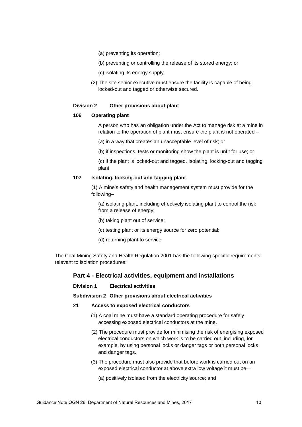- (a) preventing its operation;
- (b) preventing or controlling the release of its stored energy; or
- (c) isolating its energy supply.
- (2) The site senior executive must ensure the facility is capable of being locked-out and tagged or otherwise secured.

#### **Division 2 Other provisions about plant**

#### **106 Operating plant**

A person who has an obligation under the Act to manage risk at a mine in relation to the operation of plant must ensure the plant is not operated –

(a) in a way that creates an unacceptable level of risk; or

(b) if inspections, tests or monitoring show the plant is unfit for use; or

(c) if the plant is locked-out and tagged. Isolating, locking-out and tagging plant

#### **107 Isolating, locking-out and tagging plant**

(1) A mine's safety and health management system must provide for the following–

(a) isolating plant, including effectively isolating plant to control the risk from a release of energy;

- (b) taking plant out of service;
- (c) testing plant or its energy source for zero potential;
- (d) returning plant to service.

The Coal Mining Safety and Health Regulation 2001 has the following specific requirements relevant to isolation procedures:

#### **Part 4 - Electrical activities, equipment and installations**

#### **Division 1 Electrical activities**

**Subdivision 2 Other provisions about electrical activities**

#### **21 Access to exposed electrical conductors**

- (1) A coal mine must have a standard operating procedure for safely accessing exposed electrical conductors at the mine.
- (2) The procedure must provide for minimising the risk of energising exposed electrical conductors on which work is to be carried out, including, for example, by using personal locks or danger tags or both personal locks and danger tags.
- (3) The procedure must also provide that before work is carried out on an exposed electrical conductor at above extra low voltage it must be—

(a) positively isolated from the electricity source; and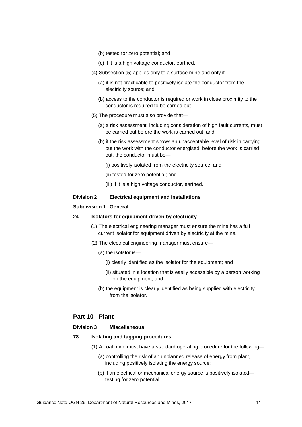- (b) tested for zero potential; and
- (c) if it is a high voltage conductor, earthed.
- (4) Subsection (5) applies only to a surface mine and only if—
	- (a) it is not practicable to positively isolate the conductor from the electricity source; and
	- (b) access to the conductor is required or work in close proximity to the conductor is required to be carried out.
- (5) The procedure must also provide that—
	- (a) a risk assessment, including consideration of high fault currents, must be carried out before the work is carried out; and
	- (b) if the risk assessment shows an unacceptable level of risk in carrying out the work with the conductor energised, before the work is carried out, the conductor must be—
		- (i) positively isolated from the electricity source; and
		- (ii) tested for zero potential; and
		- (iii) if it is a high voltage conductor, earthed.

#### **Division 2 Electrical equipment and installations**

#### **Subdivision 1 General**

#### **24 Isolators for equipment driven by electricity**

- (1) The electrical engineering manager must ensure the mine has a full current isolator for equipment driven by electricity at the mine.
- (2) The electrical engineering manager must ensure—
	- (a) the isolator is—
		- (i) clearly identified as the isolator for the equipment; and
		- (ii) situated in a location that is easily accessible by a person working on the equipment; and
	- (b) the equipment is clearly identified as being supplied with electricity from the isolator.

#### **Part 10 - Plant**

#### **Division 3 Miscellaneous**

#### **78 Isolating and tagging procedures**

- (1) A coal mine must have a standard operating procedure for the following—
	- (a) controlling the risk of an unplanned release of energy from plant, including positively isolating the energy source;
	- (b) if an electrical or mechanical energy source is positively isolated testing for zero potential;